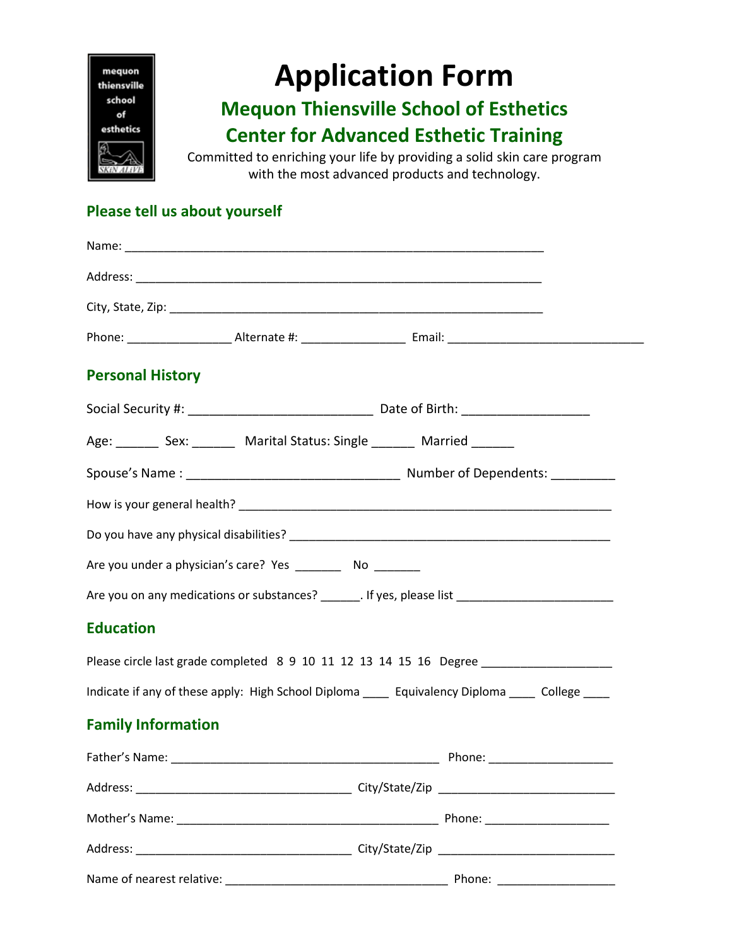

# **Application Form**

## **Mequon Thiensville School of Esthetics**

### **Center for Advanced Esthetic Training**

Committed to enriching your life by providing a solid skin care program with the most advanced products and technology.

#### **Please tell us about yourself**

| <b>Personal History</b>   |                                                                                 |                                                                                                     |
|---------------------------|---------------------------------------------------------------------------------|-----------------------------------------------------------------------------------------------------|
|                           |                                                                                 |                                                                                                     |
|                           | Age: _________ Sex: __________ Marital Status: Single ________ Married ________ |                                                                                                     |
|                           |                                                                                 |                                                                                                     |
|                           |                                                                                 |                                                                                                     |
|                           |                                                                                 |                                                                                                     |
|                           | Are you under a physician's care? Yes __________ No ________                    |                                                                                                     |
|                           |                                                                                 | Are you on any medications or substances? _______. If yes, please list ____________________________ |
| <b>Education</b>          |                                                                                 |                                                                                                     |
|                           |                                                                                 | Please circle last grade completed 8 9 10 11 12 13 14 15 16 Degree                                  |
|                           |                                                                                 | Indicate if any of these apply: High School Diploma _____ Equivalency Diploma _____ College ____    |
| <b>Family Information</b> |                                                                                 |                                                                                                     |
|                           |                                                                                 |                                                                                                     |
|                           |                                                                                 |                                                                                                     |
|                           |                                                                                 |                                                                                                     |
|                           |                                                                                 |                                                                                                     |
| Name of nearest relative: | <u> 1980 - Johann Barn, fransk politik fotograf (d. 1980)</u>                   | Phone:                                                                                              |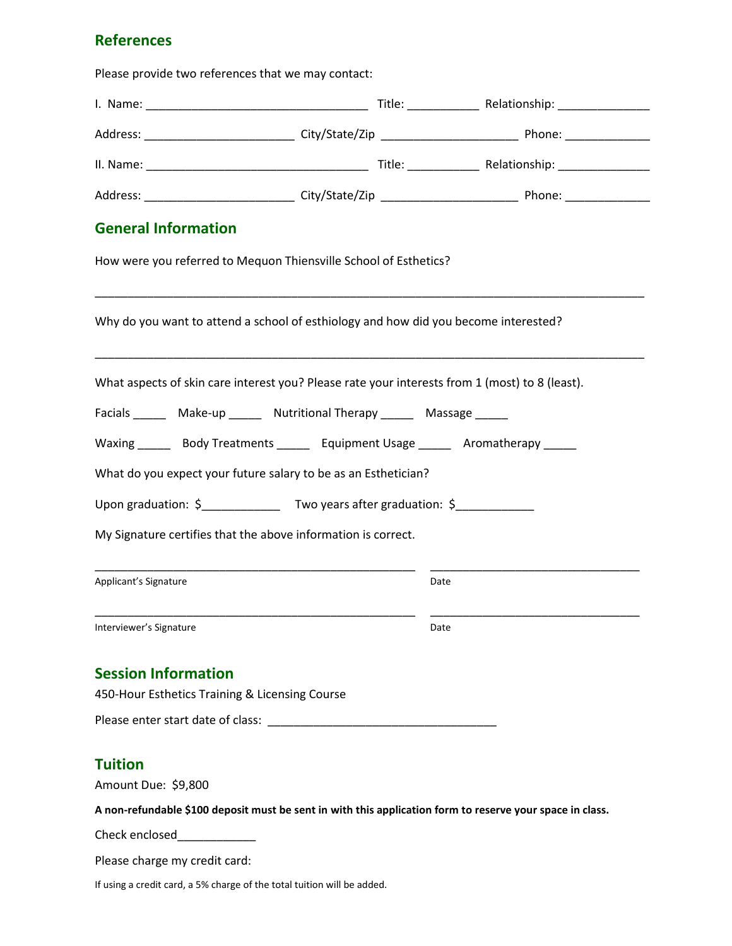#### **References**

Please provide two references that we may contact:

| <b>General Information</b>                                                                                |      |  |
|-----------------------------------------------------------------------------------------------------------|------|--|
| How were you referred to Mequon Thiensville School of Esthetics?                                          |      |  |
| Why do you want to attend a school of esthiology and how did you become interested?                       |      |  |
| What aspects of skin care interest you? Please rate your interests from 1 (most) to 8 (least).            |      |  |
| Facials ________ Make-up _______ Nutritional Therapy _______ Massage ______                               |      |  |
| Waxing _______ Body Treatments _______ Equipment Usage ______ Aromatherapy _____                          |      |  |
| What do you expect your future salary to be as an Esthetician?                                            |      |  |
| Upon graduation: \$_________________ Two years after graduation: \$_______________                        |      |  |
| My Signature certifies that the above information is correct.                                             |      |  |
| Applicant's Signature                                                                                     | Date |  |
| Interviewer's Signature                                                                                   | Date |  |
| <b>Session Information</b>                                                                                |      |  |
| 450-Hour Esthetics Training & Licensing Course                                                            |      |  |
|                                                                                                           |      |  |
| <b>Tuition</b>                                                                                            |      |  |
| Amount Due: \$9,800                                                                                       |      |  |
| A non-refundable \$100 deposit must be sent in with this application form to reserve your space in class. |      |  |
| Check enclosed_____________                                                                               |      |  |
| Please charge my credit card:                                                                             |      |  |
| If using a credit card, a 5% charge of the total tuition will be added.                                   |      |  |